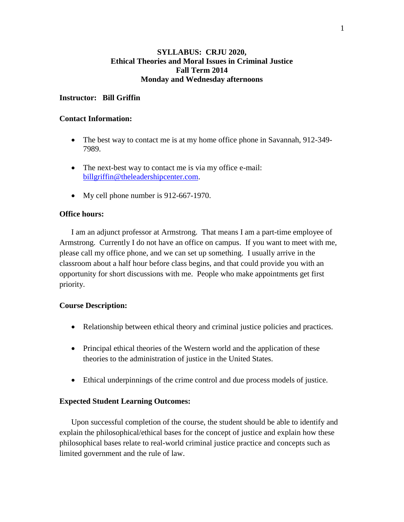## **SYLLABUS: CRJU 2020, Ethical Theories and Moral Issues in Criminal Justice Fall Term 2014 Monday and Wednesday afternoons**

## **Instructor: Bill Griffin**

### **Contact Information:**

- The best way to contact me is at my home office phone in Savannah, 912-349-7989.
- The next-best way to contact me is via my office e-mail: [billgriffin@theleadershipcenter.com.](mailto:billgriffin@theleadershipcenter.com)
- My cell phone number is 912-667-1970.

## **Office hours:**

I am an adjunct professor at Armstrong. That means I am a part-time employee of Armstrong. Currently I do not have an office on campus. If you want to meet with me, please call my office phone, and we can set up something. I usually arrive in the classroom about a half hour before class begins, and that could provide you with an opportunity for short discussions with me. People who make appointments get first priority.

## **Course Description:**

- Relationship between ethical theory and criminal justice policies and practices.
- Principal ethical theories of the Western world and the application of these theories to the administration of justice in the United States.
- Ethical underpinnings of the crime control and due process models of justice.

## **Expected Student Learning Outcomes:**

Upon successful completion of the course, the student should be able to identify and explain the philosophical/ethical bases for the concept of justice and explain how these philosophical bases relate to real-world criminal justice practice and concepts such as limited government and the rule of law.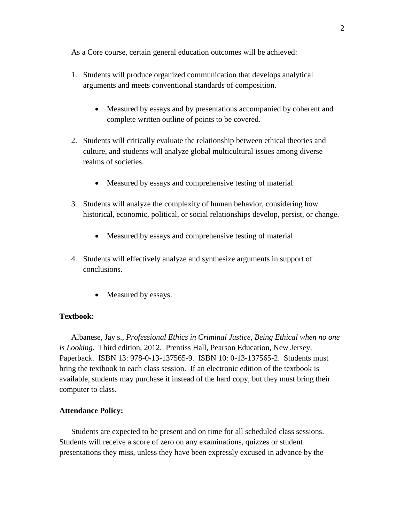As a Core course, certain general education outcomes will be achieved:

- 1. Students will produce organized communication that develops analytical arguments and meets conventional standards of composition.
	- Measured by essays and by presentations accompanied by coherent and complete written outline of points to be covered.
- 2. Students will critically evaluate the relationship between ethical theories and culture, and students will analyze global multicultural issues among diverse realms of societies.
	- Measured by essays and comprehensive testing of material.
- 3. Students will analyze the complexity of human behavior, considering how historical, economic, political, or social relationships develop, persist, or change.
	- Measured by essays and comprehensive testing of material.
- 4. Students will effectively analyze and synthesize arguments in support of conclusions.
	- Measured by essays.

## **Textbook:**

Albanese, Jay s., *Professional Ethics in Criminal Justice, Being Ethical when no one is Looking*. Third edition, 2012. Prentiss Hall, Pearson Education, New Jersey. Paperback. ISBN 13: 978-0-13-137565-9. ISBN 10: 0-13-137565-2. Students must bring the textbook to each class session. If an electronic edition of the textbook is available, students may purchase it instead of the hard copy, but they must bring their computer to class.

#### **Attendance Policy:**

Students are expected to be present and on time for all scheduled class sessions. Students will receive a score of zero on any examinations, quizzes or student presentations they miss, unless they have been expressly excused in advance by the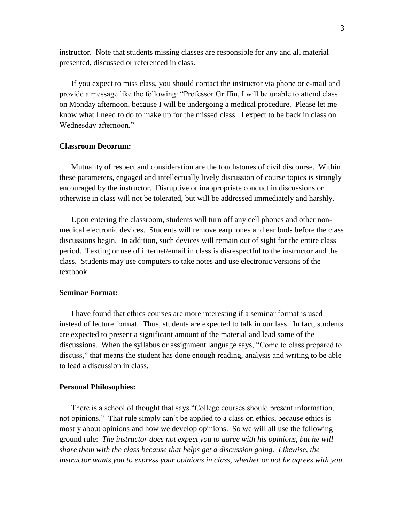instructor. Note that students missing classes are responsible for any and all material presented, discussed or referenced in class.

If you expect to miss class, you should contact the instructor via phone or e-mail and provide a message like the following: "Professor Griffin, I will be unable to attend class on Monday afternoon, because I will be undergoing a medical procedure. Please let me know what I need to do to make up for the missed class. I expect to be back in class on Wednesday afternoon."

### **Classroom Decorum:**

Mutuality of respect and consideration are the touchstones of civil discourse. Within these parameters, engaged and intellectually lively discussion of course topics is strongly encouraged by the instructor. Disruptive or inappropriate conduct in discussions or otherwise in class will not be tolerated, but will be addressed immediately and harshly.

Upon entering the classroom, students will turn off any cell phones and other nonmedical electronic devices. Students will remove earphones and ear buds before the class discussions begin. In addition, such devices will remain out of sight for the entire class period. Texting or use of internet/email in class is disrespectful to the instructor and the class. Students may use computers to take notes and use electronic versions of the textbook.

### **Seminar Format:**

I have found that ethics courses are more interesting if a seminar format is used instead of lecture format. Thus, students are expected to talk in our lass. In fact, students are expected to present a significant amount of the material and lead some of the discussions. When the syllabus or assignment language says, "Come to class prepared to discuss," that means the student has done enough reading, analysis and writing to be able to lead a discussion in class.

#### **Personal Philosophies:**

There is a school of thought that says "College courses should present information, not opinions." That rule simply can't be applied to a class on ethics, because ethics is mostly about opinions and how we develop opinions. So we will all use the following ground rule: *The instructor does not expect you to agree with his opinions, but he will share them with the class because that helps get a discussion going. Likewise, the instructor wants you to express your opinions in class, whether or not he agrees with you.*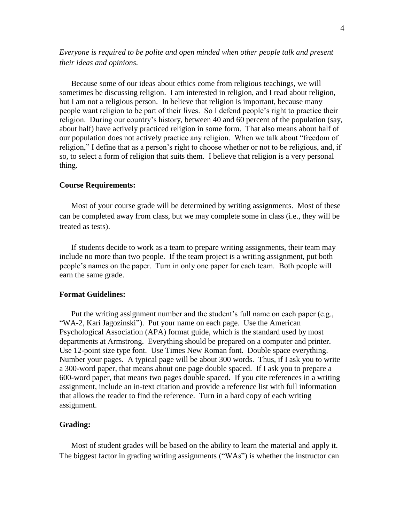*Everyone is required to be polite and open minded when other people talk and present their ideas and opinions.*

Because some of our ideas about ethics come from religious teachings, we will sometimes be discussing religion. I am interested in religion, and I read about religion, but I am not a religious person. In believe that religion is important, because many people want religion to be part of their lives. So I defend people's right to practice their religion. During our country's history, between 40 and 60 percent of the population (say, about half) have actively practiced religion in some form. That also means about half of our population does not actively practice any religion. When we talk about "freedom of religion," I define that as a person's right to choose whether or not to be religious, and, if so, to select a form of religion that suits them. I believe that religion is a very personal thing.

### **Course Requirements:**

Most of your course grade will be determined by writing assignments. Most of these can be completed away from class, but we may complete some in class (i.e., they will be treated as tests).

If students decide to work as a team to prepare writing assignments, their team may include no more than two people. If the team project is a writing assignment, put both people's names on the paper. Turn in only one paper for each team. Both people will earn the same grade.

### **Format Guidelines:**

Put the writing assignment number and the student's full name on each paper (e.g., "WA-2, Kari Jagozinski"). Put your name on each page. Use the American Psychological Association (APA) format guide, which is the standard used by most departments at Armstrong. Everything should be prepared on a computer and printer. Use 12-point size type font. Use Times New Roman font. Double space everything. Number your pages. A typical page will be about 300 words. Thus, if I ask you to write a 300-word paper, that means about one page double spaced. If I ask you to prepare a 600-word paper, that means two pages double spaced. If you cite references in a writing assignment, include an in-text citation and provide a reference list with full information that allows the reader to find the reference. Turn in a hard copy of each writing assignment.

#### **Grading:**

Most of student grades will be based on the ability to learn the material and apply it. The biggest factor in grading writing assignments ("WAs") is whether the instructor can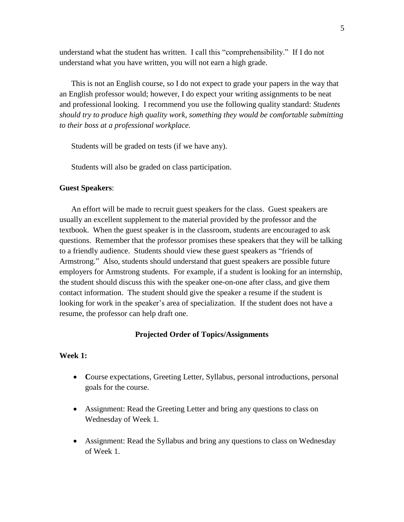understand what the student has written. I call this "comprehensibility." If I do not understand what you have written, you will not earn a high grade.

This is not an English course, so I do not expect to grade your papers in the way that an English professor would; however, I do expect your writing assignments to be neat and professional looking. I recommend you use the following quality standard: *Students should try to produce high quality work, something they would be comfortable submitting to their boss at a professional workplace.*

Students will be graded on tests (if we have any).

Students will also be graded on class participation.

### **Guest Speakers**:

An effort will be made to recruit guest speakers for the class. Guest speakers are usually an excellent supplement to the material provided by the professor and the textbook. When the guest speaker is in the classroom, students are encouraged to ask questions. Remember that the professor promises these speakers that they will be talking to a friendly audience. Students should view these guest speakers as "friends of Armstrong." Also, students should understand that guest speakers are possible future employers for Armstrong students. For example, if a student is looking for an internship, the student should discuss this with the speaker one-on-one after class, and give them contact information. The student should give the speaker a resume if the student is looking for work in the speaker's area of specialization. If the student does not have a resume, the professor can help draft one.

### **Projected Order of Topics/Assignments**

#### **Week 1:**

- **C**ourse expectations, Greeting Letter, Syllabus, personal introductions, personal goals for the course.
- Assignment: Read the Greeting Letter and bring any questions to class on Wednesday of Week 1.
- Assignment: Read the Syllabus and bring any questions to class on Wednesday of Week 1.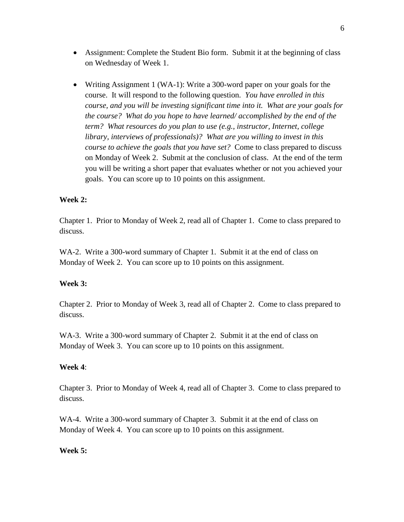- Assignment: Complete the Student Bio form. Submit it at the beginning of class on Wednesday of Week 1.
- Writing Assignment 1 (WA-1): Write a 300-word paper on your goals for the course. It will respond to the following question. *You have enrolled in this course, and you will be investing significant time into it. What are your goals for the course? What do you hope to have learned/ accomplished by the end of the term? What resources do you plan to use (e.g., instructor, Internet, college library, interviews of professionals)? What are you willing to invest in this course to achieve the goals that you have set?* Come to class prepared to discuss on Monday of Week 2. Submit at the conclusion of class. At the end of the term you will be writing a short paper that evaluates whether or not you achieved your goals. You can score up to 10 points on this assignment.

# **Week 2:**

Chapter 1. Prior to Monday of Week 2, read all of Chapter 1. Come to class prepared to discuss.

WA-2. Write a 300-word summary of Chapter 1. Submit it at the end of class on Monday of Week 2. You can score up to 10 points on this assignment.

## **Week 3:**

Chapter 2. Prior to Monday of Week 3, read all of Chapter 2. Come to class prepared to discuss.

WA-3. Write a 300-word summary of Chapter 2. Submit it at the end of class on Monday of Week 3. You can score up to 10 points on this assignment.

## **Week 4**:

Chapter 3. Prior to Monday of Week 4, read all of Chapter 3. Come to class prepared to discuss.

WA-4. Write a 300-word summary of Chapter 3. Submit it at the end of class on Monday of Week 4. You can score up to 10 points on this assignment.

## **Week 5:**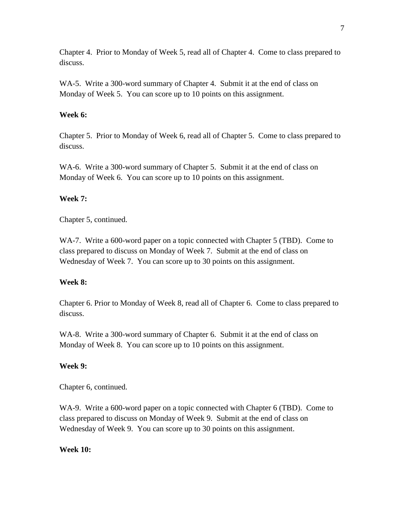Chapter 4. Prior to Monday of Week 5, read all of Chapter 4. Come to class prepared to discuss.

WA-5. Write a 300-word summary of Chapter 4. Submit it at the end of class on Monday of Week 5. You can score up to 10 points on this assignment.

# **Week 6:**

Chapter 5. Prior to Monday of Week 6, read all of Chapter 5. Come to class prepared to discuss.

WA-6. Write a 300-word summary of Chapter 5. Submit it at the end of class on Monday of Week 6. You can score up to 10 points on this assignment.

# **Week 7:**

Chapter 5, continued.

WA-7. Write a 600-word paper on a topic connected with Chapter 5 (TBD). Come to class prepared to discuss on Monday of Week 7. Submit at the end of class on Wednesday of Week 7. You can score up to 30 points on this assignment.

# **Week 8:**

Chapter 6. Prior to Monday of Week 8, read all of Chapter 6. Come to class prepared to discuss.

WA-8. Write a 300-word summary of Chapter 6. Submit it at the end of class on Monday of Week 8. You can score up to 10 points on this assignment.

# **Week 9:**

Chapter 6, continued.

WA-9. Write a 600-word paper on a topic connected with Chapter 6 (TBD). Come to class prepared to discuss on Monday of Week 9. Submit at the end of class on Wednesday of Week 9. You can score up to 30 points on this assignment.

# **Week 10:**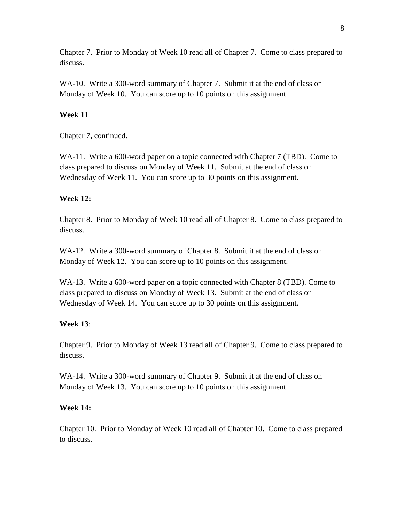Chapter 7. Prior to Monday of Week 10 read all of Chapter 7. Come to class prepared to discuss.

WA-10. Write a 300-word summary of Chapter 7. Submit it at the end of class on Monday of Week 10. You can score up to 10 points on this assignment.

## **Week 11**

Chapter 7, continued.

WA-11. Write a 600-word paper on a topic connected with Chapter 7 (TBD). Come to class prepared to discuss on Monday of Week 11. Submit at the end of class on Wednesday of Week 11. You can score up to 30 points on this assignment.

## **Week 12:**

Chapter 8**.** Prior to Monday of Week 10 read all of Chapter 8. Come to class prepared to discuss.

WA-12. Write a 300-word summary of Chapter 8. Submit it at the end of class on Monday of Week 12. You can score up to 10 points on this assignment.

WA-13. Write a 600-word paper on a topic connected with Chapter 8 (TBD). Come to class prepared to discuss on Monday of Week 13. Submit at the end of class on Wednesday of Week 14. You can score up to 30 points on this assignment.

## **Week 13**:

Chapter 9. Prior to Monday of Week 13 read all of Chapter 9. Come to class prepared to discuss.

WA-14. Write a 300-word summary of Chapter 9. Submit it at the end of class on Monday of Week 13. You can score up to 10 points on this assignment.

## **Week 14:**

Chapter 10. Prior to Monday of Week 10 read all of Chapter 10. Come to class prepared to discuss.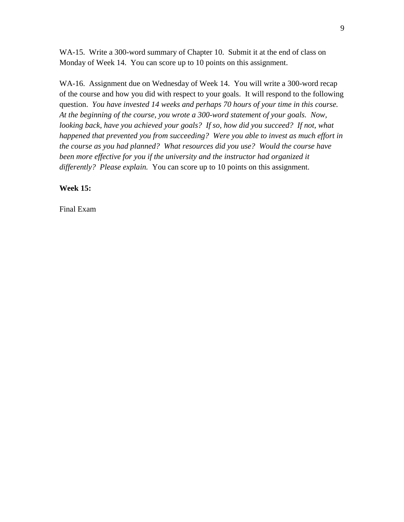WA-15. Write a 300-word summary of Chapter 10. Submit it at the end of class on Monday of Week 14. You can score up to 10 points on this assignment.

WA-16. Assignment due on Wednesday of Week 14. You will write a 300-word recap of the course and how you did with respect to your goals. It will respond to the following question. *You have invested 14 weeks and perhaps 70 hours of your time in this course. At the beginning of the course, you wrote a 300-word statement of your goals. Now, looking back, have you achieved your goals? If so, how did you succeed? If not, what happened that prevented you from succeeding? Were you able to invest as much effort in the course as you had planned? What resources did you use? Would the course have*  been more effective for you if the university and the instructor had organized it *differently? Please explain.* You can score up to 10 points on this assignment.

**Week 15:**

Final Exam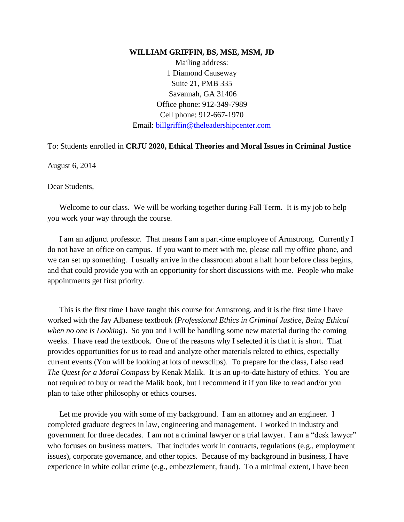#### **WILLIAM GRIFFIN, BS, MSE, MSM, JD**

Mailing address: 1 Diamond Causeway Suite 21, PMB 335 Savannah, GA 31406 Office phone: 912-349-7989 Cell phone: 912-667-1970 Email: [billgriffin@theleadershipcenter.com](mailto:billgriffin@theleadershipcenter.com)

To: Students enrolled in **CRJU 2020, Ethical Theories and Moral Issues in Criminal Justice**

August 6, 2014

Dear Students,

Welcome to our class. We will be working together during Fall Term. It is my job to help you work your way through the course.

I am an adjunct professor. That means I am a part-time employee of Armstrong. Currently I do not have an office on campus. If you want to meet with me, please call my office phone, and we can set up something. I usually arrive in the classroom about a half hour before class begins, and that could provide you with an opportunity for short discussions with me. People who make appointments get first priority.

This is the first time I have taught this course for Armstrong, and it is the first time I have worked with the Jay Albanese textbook (*Professional Ethics in Criminal Justice, Being Ethical when no one is Looking*). So you and I will be handling some new material during the coming weeks. I have read the textbook. One of the reasons why I selected it is that it is short. That provides opportunities for us to read and analyze other materials related to ethics, especially current events (You will be looking at lots of newsclips). To prepare for the class, I also read *The Quest for a Moral Compass* by Kenak Malik. It is an up-to-date history of ethics. You are not required to buy or read the Malik book, but I recommend it if you like to read and/or you plan to take other philosophy or ethics courses.

Let me provide you with some of my background. I am an attorney and an engineer. I completed graduate degrees in law, engineering and management. I worked in industry and government for three decades. I am not a criminal lawyer or a trial lawyer. I am a "desk lawyer" who focuses on business matters. That includes work in contracts, regulations (e.g., employment issues), corporate governance, and other topics. Because of my background in business, I have experience in white collar crime (e.g., embezzlement, fraud). To a minimal extent, I have been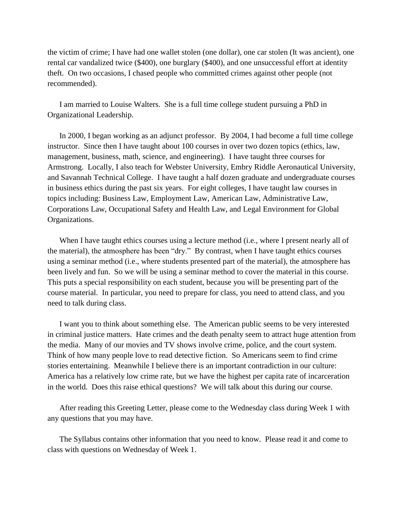the victim of crime; I have had one wallet stolen (one dollar), one car stolen (It was ancient), one rental car vandalized twice (\$400), one burglary (\$400), and one unsuccessful effort at identity theft. On two occasions, I chased people who committed crimes against other people (not recommended).

I am married to Louise Walters. She is a full time college student pursuing a PhD in Organizational Leadership.

In 2000, I began working as an adjunct professor. By 2004, I had become a full time college instructor. Since then I have taught about 100 courses in over two dozen topics (ethics, law, management, business, math, science, and engineering). I have taught three courses for Armstrong. Locally, I also teach for Webster University, Embry Riddle Aeronautical University, and Savannah Technical College. I have taught a half dozen graduate and undergraduate courses in business ethics during the past six years. For eight colleges, I have taught law courses in topics including: Business Law, Employment Law, American Law, Administrative Law, Corporations Law, Occupational Safety and Health Law, and Legal Environment for Global Organizations.

When I have taught ethics courses using a lecture method (i.e., where I present nearly all of the material), the atmosphere has been "dry." By contrast, when I have taught ethics courses using a seminar method (i.e., where students presented part of the material), the atmosphere has been lively and fun. So we will be using a seminar method to cover the material in this course. This puts a special responsibility on each student, because you will be presenting part of the course material. In particular, you need to prepare for class, you need to attend class, and you need to talk during class.

I want you to think about something else. The American public seems to be very interested in criminal justice matters. Hate crimes and the death penalty seem to attract huge attention from the media. Many of our movies and TV shows involve crime, police, and the court system. Think of how many people love to read detective fiction. So Americans seem to find crime stories entertaining. Meanwhile I believe there is an important contradiction in our culture: America has a relatively low crime rate, but we have the highest per capita rate of incarceration in the world. Does this raise ethical questions? We will talk about this during our course.

After reading this Greeting Letter, please come to the Wednesday class during Week 1 with any questions that you may have.

The Syllabus contains other information that you need to know. Please read it and come to class with questions on Wednesday of Week 1.